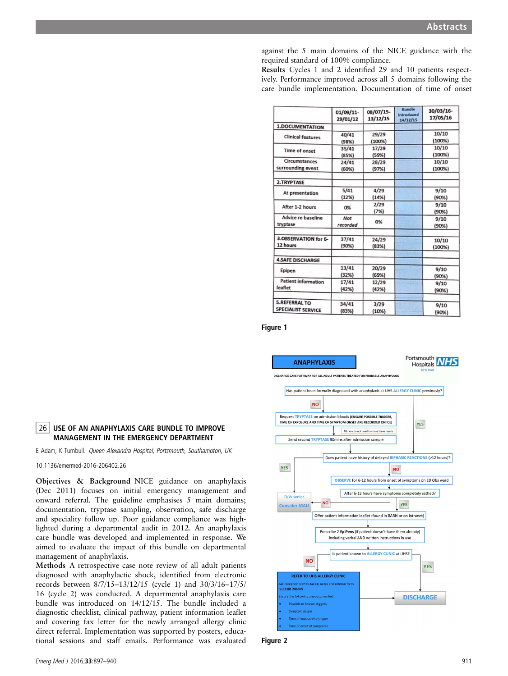against the 5 main domains of the NICE guidance with the required standard of 100% compliance.

Results Cycles 1 and 2 identified 29 and 10 patients respectively. Performance improved across all 5 domains following the care bundle implementation. Documentation of time of onset

|                            | 01/09/11-<br>29/01/12 | 08/07/15-<br>13/12/15 | <b>Bundle</b><br><b>introduced</b><br>14/12/15 | 30/03/16-<br>17/05/16 |
|----------------------------|-----------------------|-----------------------|------------------------------------------------|-----------------------|
| 1.DOCUMENTATION            |                       |                       |                                                |                       |
| <b>Clinical features</b>   | 40/41                 | 29/29                 |                                                | 10/10                 |
|                            | (98%)                 | (100%)                |                                                | (100%)                |
| Time of onset              | 35/41                 | 17/29                 |                                                | 10/10                 |
|                            | (85%)                 | (59%)                 |                                                | (100%)                |
| Circumstances              | 24/41                 | 28/29                 |                                                | 10/10                 |
| surrounding event          | (60%)                 | (97%)                 |                                                | (100%)                |
| 2.TRYPTASE                 |                       |                       |                                                |                       |
| At presentation            | 5/41                  | 4/29                  |                                                | 9/10                  |
|                            | (12%)                 | (14%)                 |                                                | (90%)                 |
| After 1-2 hours            | 0%                    | 2/29                  |                                                | 9/10                  |
|                            |                       | (7%)                  |                                                | (90%)                 |
| Advice re baseline         | Not                   | 0%                    |                                                | 9/10                  |
| tryptase                   | recorded              |                       |                                                | (90%)                 |
| 3.OBSERVATION for 6-       | 37/41                 | 24/29                 |                                                | 10/10                 |
| 12 hours                   | (90%)                 | (83%)                 |                                                | (100%)                |
| <b>4.SAFE DISCHARGE</b>    |                       |                       |                                                |                       |
| Epipen                     | 13/41                 | 20/29                 |                                                | 9/10                  |
|                            | (32%)                 | (69%)                 |                                                | (90%)                 |
| <b>Patient information</b> | 17/41                 | 12/29                 |                                                | 9/10                  |
| leaflet                    | (42%)                 | (42%)                 |                                                | (90%)                 |
| <b>5.REFERRAL TO</b>       | 34/41                 | 3/29                  |                                                | 9/10                  |
| <b>SPECIALIST SERVICE</b>  | (83%)                 | (10%)                 |                                                | (90%)                 |

Figure 1



# Figure 2

10.1136/emermed-2016-206402.26

management of anaphylaxis.

records between 8/7/15–13/12/15 (cycle 1) and 30/3/16–17/5/ 16 (cycle 2) was conducted. A departmental anaphylaxis care bundle was introduced on 14/12/15. The bundle included a diagnostic checklist, clinical pathway, patient information leaflet and covering fax letter for the newly arranged allergy clinic direct referral. Implementation was supported by posters, educational sessions and staff emails. Performance was evaluated

Methods A retrospective case note review of all adult patients diagnosed with anaphylactic shock, identified from electronic

26 USE OF AN ANAPHYLAXIS CARE BUNDLE TO IMPROVE MANAGEMENT IN THE EMERGENCY DEPARTMENT E Adam, K Turnbull. Queen Alexandra Hospital, Portsmouth, Southampton, UK

Objectives & Background NICE guidance on anaphylaxis (Dec 2011) focuses on initial emergency management and onward referral. The guideline emphasises 5 main domains; documentation, tryptase sampling, observation, safe discharge and speciality follow up. Poor guidance compliance was highlighted during a departmental audit in 2012. An anaphylaxis care bundle was developed and implemented in response. We aimed to evaluate the impact of this bundle on departmental